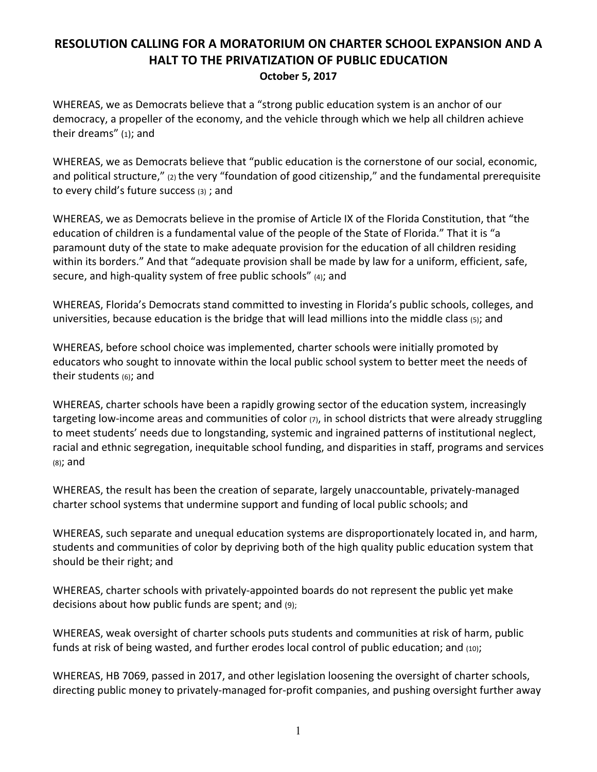## **RESOLUTION CALLING FOR A MORATORIUM ON CHARTER SCHOOL EXPANSION AND A HALT TO THE PRIVATIZATION OF PUBLIC EDUCATION October 5, 2017**

WHEREAS, we as Democrats believe that a "strong public education system is an anchor of our democracy, a propeller of the economy, and the vehicle through which we help all children achieve their dreams" (1); and

WHEREAS, we as Democrats believe that "public education is the cornerstone of our social, economic, and political structure,"  $(2)$  the very "foundation of good citizenship," and the fundamental prerequisite to every child's future success  $(3)$ ; and

WHEREAS, we as Democrats believe in the promise of Article IX of the Florida Constitution, that "the education of children is a fundamental value of the people of the State of Florida." That it is "a paramount duty of the state to make adequate provision for the education of all children residing within its borders." And that "adequate provision shall be made by law for a uniform, efficient, safe, secure, and high-quality system of free public schools" (4); and

WHEREAS, Florida's Democrats stand committed to investing in Florida's public schools, colleges, and universities, because education is the bridge that will lead millions into the middle class  $(s)$ ; and

WHEREAS, before school choice was implemented, charter schools were initially promoted by educators who sought to innovate within the local public school system to better meet the needs of their students  $(6)$ ; and

WHEREAS, charter schools have been a rapidly growing sector of the education system, increasingly targeting low-income areas and communities of color  $(7)$ , in school districts that were already struggling to meet students' needs due to longstanding, systemic and ingrained patterns of institutional neglect, racial and ethnic segregation, inequitable school funding, and disparities in staff, programs and services  $(8)$ ; and

WHEREAS, the result has been the creation of separate, largely unaccountable, privately-managed charter school systems that undermine support and funding of local public schools; and

WHEREAS, such separate and unequal education systems are disproportionately located in, and harm, students and communities of color by depriving both of the high quality public education system that should be their right; and

WHEREAS, charter schools with privately-appointed boards do not represent the public yet make decisions about how public funds are spent; and  $(9)$ ;

WHEREAS, weak oversight of charter schools puts students and communities at risk of harm, public funds at risk of being wasted, and further erodes local control of public education; and (10);

WHEREAS, HB 7069, passed in 2017, and other legislation loosening the oversight of charter schools, directing public money to privately-managed for-profit companies, and pushing oversight further away